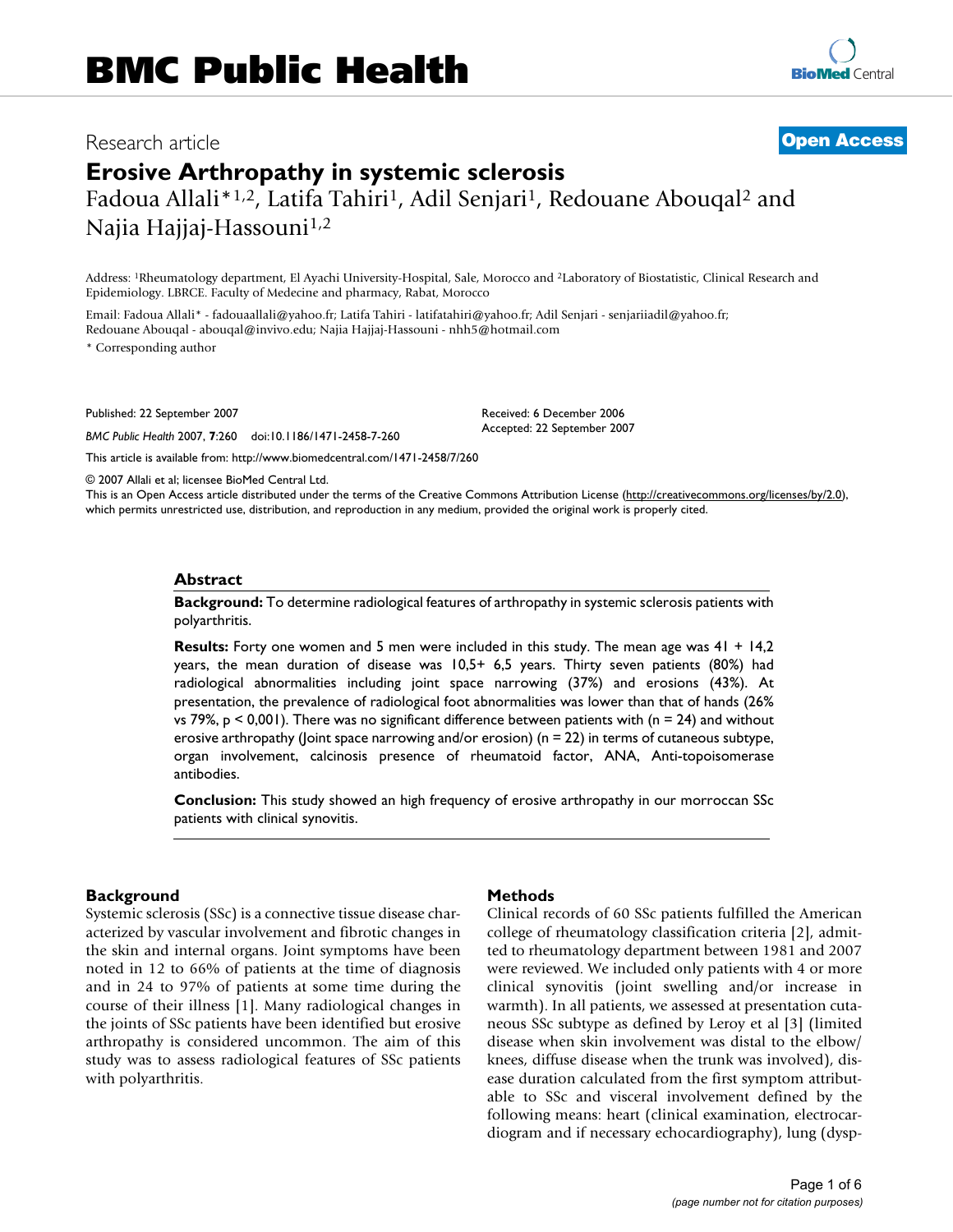# Research article **[Open Access](http://www.biomedcentral.com/info/about/charter/)**

# **Erosive Arthropathy in systemic sclerosis** Fadoua Allali\*<sup>1,2</sup>, Latifa Tahiri<sup>1</sup>, Adil Senjari<sup>1</sup>, Redouane Abouqal<sup>2</sup> and Najia Hajjaj-Hassouni<sup>1,2</sup>

Address: 1Rheumatology department, El Ayachi University-Hospital, Sale, Morocco and 2Laboratory of Biostatistic, Clinical Research and Epidemiology. LBRCE. Faculty of Medecine and pharmacy, Rabat, Morocco

Email: Fadoua Allali\* - fadouaallali@yahoo.fr; Latifa Tahiri - latifatahiri@yahoo.fr; Adil Senjari - senjariiadil@yahoo.fr; Redouane Abouqal - abouqal@invivo.edu; Najia Hajjaj-Hassouni - nhh5@hotmail.com

\* Corresponding author

Published: 22 September 2007

*BMC Public Health* 2007, **7**:260 doi:10.1186/1471-2458-7-260

Received: 6 December 2006 Accepted: 22 September 2007

[This article is available from: http://www.biomedcentral.com/1471-2458/7/260](http://www.biomedcentral.com/1471-2458/7/260)

© 2007 Allali et al; licensee BioMed Central Ltd.

This is an Open Access article distributed under the terms of the Creative Commons Attribution License [\(http://creativecommons.org/licenses/by/2.0\)](http://creativecommons.org/licenses/by/2.0), which permits unrestricted use, distribution, and reproduction in any medium, provided the original work is properly cited.

#### **Abstract**

**Background:** To determine radiological features of arthropathy in systemic sclerosis patients with polyarthritis.

**Results:** Forty one women and 5 men were included in this study. The mean age was 41 + 14,2 years, the mean duration of disease was 10,5+ 6,5 years. Thirty seven patients (80%) had radiological abnormalities including joint space narrowing (37%) and erosions (43%). At presentation, the prevalence of radiological foot abnormalities was lower than that of hands (26% vs 79%,  $p < 0.001$ ). There was no significant difference between patients with ( $n = 24$ ) and without erosive arthropathy (Joint space narrowing and/or erosion) ( $n = 22$ ) in terms of cutaneous subtype, organ involvement, calcinosis presence of rheumatoid factor, ANA, Anti-topoisomerase antibodies.

**Conclusion:** This study showed an high frequency of erosive arthropathy in our morroccan SSc patients with clinical synovitis.

# **Background**

Systemic sclerosis (SSc) is a connective tissue disease characterized by vascular involvement and fibrotic changes in the skin and internal organs. Joint symptoms have been noted in 12 to 66% of patients at the time of diagnosis and in 24 to 97% of patients at some time during the course of their illness [1]. Many radiological changes in the joints of SSc patients have been identified but erosive arthropathy is considered uncommon. The aim of this study was to assess radiological features of SSc patients with polyarthritis.

#### **Methods**

Clinical records of 60 SSc patients fulfilled the American college of rheumatology classification criteria [2], admitted to rheumatology department between 1981 and 2007 were reviewed. We included only patients with 4 or more clinical synovitis (joint swelling and/or increase in warmth). In all patients, we assessed at presentation cutaneous SSc subtype as defined by Leroy et al [3] (limited disease when skin involvement was distal to the elbow/ knees, diffuse disease when the trunk was involved), disease duration calculated from the first symptom attributable to SSc and visceral involvement defined by the following means: heart (clinical examination, electrocardiogram and if necessary echocardiography), lung (dysp-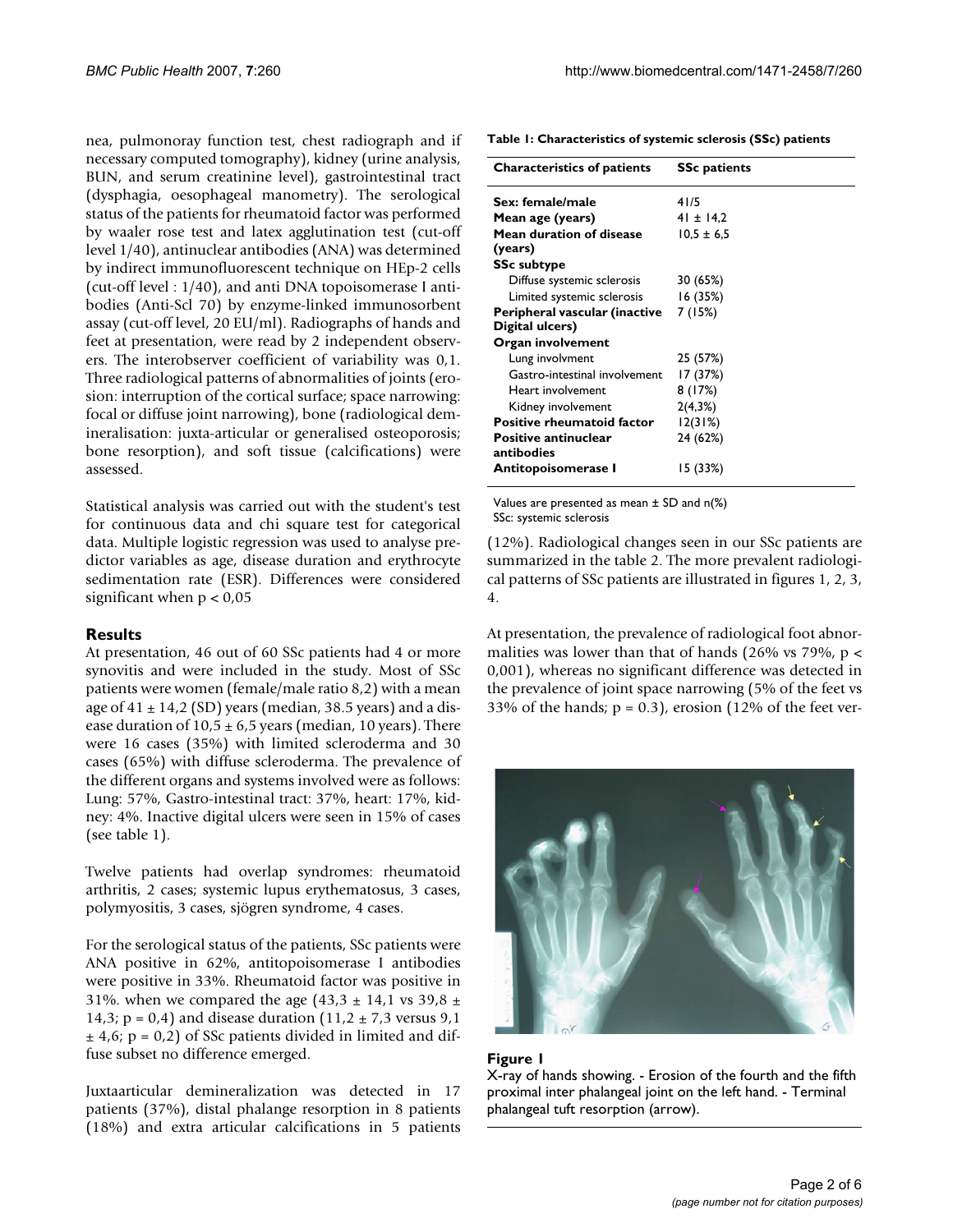nea, pulmonoray function test, chest radiograph and if necessary computed tomography), kidney (urine analysis, BUN, and serum creatinine level), gastrointestinal tract (dysphagia, oesophageal manometry). The serological status of the patients for rheumatoid factor was performed by waaler rose test and latex agglutination test (cut-off level 1/40), antinuclear antibodies (ANA) was determined by indirect immunofluorescent technique on HEp-2 cells (cut-off level : 1/40), and anti DNA topoisomerase I antibodies (Anti-Scl 70) by enzyme-linked immunosorbent assay (cut-off level, 20 EU/ml). Radiographs of hands and feet at presentation, were read by 2 independent observers. The interobserver coefficient of variability was 0,1. Three radiological patterns of abnormalities of joints (erosion: interruption of the cortical surface; space narrowing: focal or diffuse joint narrowing), bone (radiological demineralisation: juxta-articular or generalised osteoporosis; bone resorption), and soft tissue (calcifications) were assessed.

Statistical analysis was carried out with the student's test for continuous data and chi square test for categorical data. Multiple logistic regression was used to analyse predictor variables as age, disease duration and erythrocyte sedimentation rate (ESR). Differences were considered significant when  $p < 0.05$ 

#### **Results**

At presentation, 46 out of 60 SSc patients had 4 or more synovitis and were included in the study. Most of SSc patients were women (female/male ratio 8,2) with a mean age of  $41 \pm 14.2$  (SD) years (median, 38.5 years) and a disease duration of  $10.5 \pm 6.5$  years (median, 10 years). There were 16 cases (35%) with limited scleroderma and 30 cases (65%) with diffuse scleroderma. The prevalence of the different organs and systems involved were as follows: Lung: 57%, Gastro-intestinal tract: 37%, heart: 17%, kidney: 4%. Inactive digital ulcers were seen in 15% of cases (see table 1).

Twelve patients had overlap syndromes: rheumatoid arthritis, 2 cases; systemic lupus erythematosus, 3 cases, polymyositis, 3 cases, sjögren syndrome, 4 cases.

For the serological status of the patients, SSc patients were ANA positive in 62%, antitopoisomerase I antibodies were positive in 33%. Rheumatoid factor was positive in 31%. when we compared the age  $(43,3 \pm 14,1 \text{ vs } 39,8 \pm 14)$ 14,3;  $p = 0.4$ ) and disease duration  $(11.2 \pm 7.3 \text{ versus } 9.1 \text{ m})$  $\pm$  4,6; p = 0,2) of SSc patients divided in limited and diffuse subset no difference emerged.

Juxtaarticular demineralization was detected in 17 patients (37%), distal phalange resorption in 8 patients (18%) and extra articular calcifications in 5 patients

**Table 1: Characteristics of systemic sclerosis (SSc) patients**

| <b>Characteristics of patients</b>        | <b>SSc patients</b> |
|-------------------------------------------|---------------------|
| Sex: female/male                          | 41/5                |
| Mean age (years)                          | $41 \pm 14.2$       |
| Mean duration of disease<br>(years)       | $10.5 \pm 6.5$      |
| <b>SSc subtype</b>                        |                     |
| Diffuse systemic sclerosis                | 30 (65%)            |
| Limited systemic sclerosis                | 16(35%)             |
| Peripheral vascular (inactive             | 7 (15%)             |
| Digital ulcers)                           |                     |
| Organ involvement                         |                     |
| Lung involvment                           | 25 (57%)            |
| Gastro-intestinal involvement             | 17 (37%)            |
| Heart involvement                         | 8(17%)              |
| Kidney involvement                        | 2(4,3%)             |
| <b>Positive rheumatoid factor</b>         | 12(31%)             |
| <b>Positive antinuclear</b><br>antibodies | 24 (62%)            |
| Antitopoisomerase I                       | 15 (33%)            |

Values are presented as mean ± SD and n(%) SSc: systemic sclerosis

(12%). Radiological changes seen in our SSc patients are summarized in the table 2. The more prevalent radiological patterns of SSc patients are illustrated in figures 1, 2, 3, 4.

At presentation, the prevalence of radiological foot abnormalities was lower than that of hands (26% vs 79%,  $p <$ 0,001), whereas no significant difference was detected in the prevalence of joint space narrowing (5% of the feet vs 33% of the hands;  $p = 0.3$ ), erosion (12% of the feet ver-



#### **Figure 1**

X-ray of hands showing. - Erosion of the fourth and the fifth proximal inter phalangeal joint on the left hand. - Terminal phalangeal tuft resorption (arrow).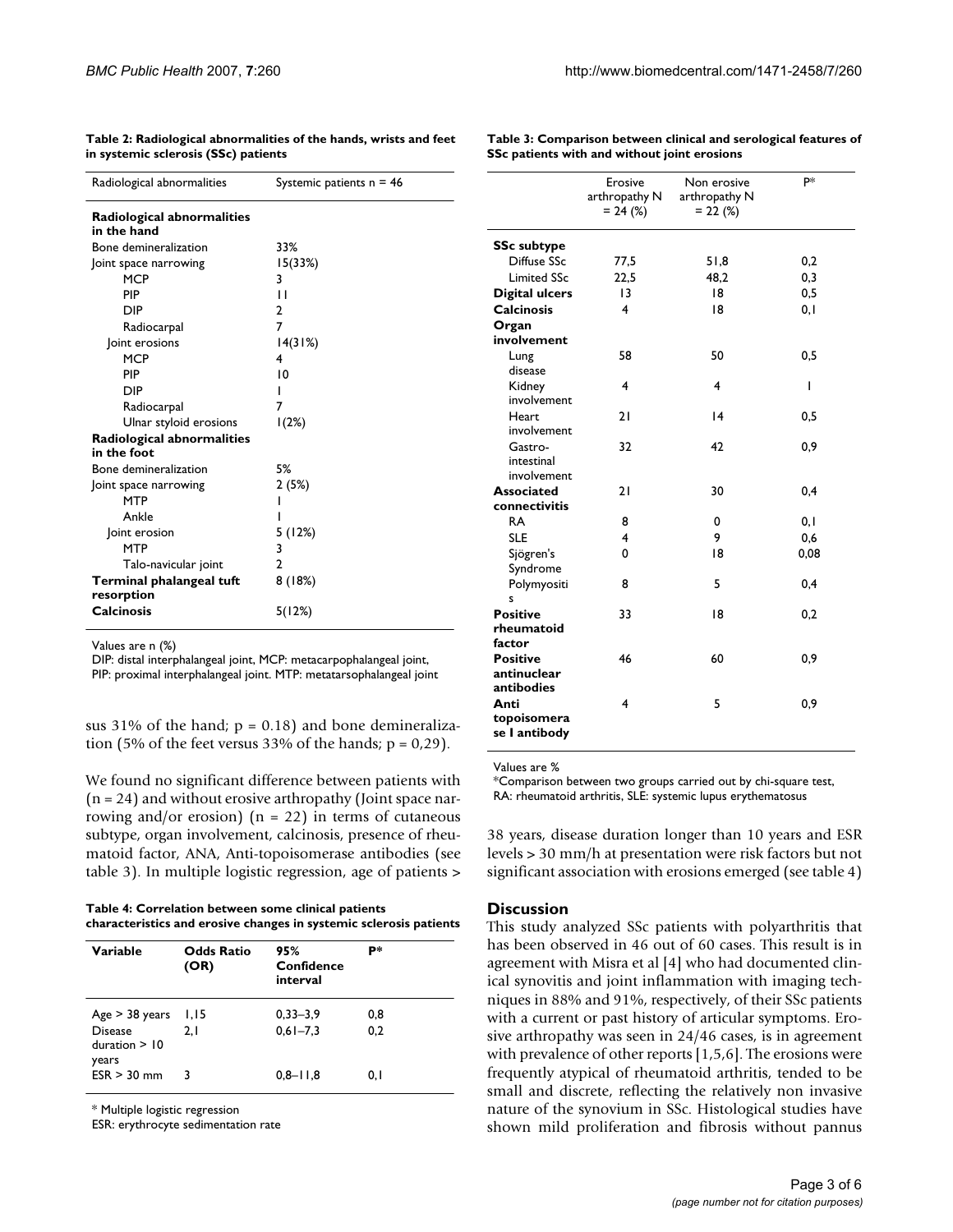| Radiological abnormalities | Systemic patients $n = 46$ |
|----------------------------|----------------------------|
| Radiological abnormalities |                            |
| in the hand                |                            |
| Bone demineralization      | 33%                        |
| oint space narrowing       | 15(33%)                    |
| <b>MCP</b>                 | 3                          |
| PIP                        | П                          |
| DIP                        | $\overline{2}$             |
| Radiocarpal                | 7                          |
| Joint erosions             | 14(31%)                    |
| <b>MCP</b>                 | 4                          |
| PIP                        | 10                         |
| DIP                        |                            |
| Radiocarpal                | 7                          |
| Ulnar styloid erosions     | 1(2%)                      |
| Radiological abnormalities |                            |
| in the foot                |                            |
| Bone demineralization      | 5%                         |
| Joint space narrowing      | 2(5%)                      |
| <b>MTP</b>                 |                            |
| Ankle                      |                            |
| Joint erosion              | 5 (12%)                    |
| <b>MTP</b>                 | 3                          |
| Talo-navicular joint       | 2                          |
| Terminal phalangeal tuft   | 8(18%)                     |
| resorption                 |                            |
| Calcinosis                 | 5(12%)                     |

**Table 2: Radiological abnormalities of the hands, wrists and feet in systemic sclerosis (SSc) patients**

**Table 3: Comparison between clinical and serological features of SSc patients with and without joint erosions**

| Values are n (%)   |  |  |
|--------------------|--|--|
| DIP: distal interp |  |  |

rphalangeal joint, MCP: metacarpophalangeal joint, PIP: proximal interphalangeal joint. MTP: metatarsophalangeal joint

sus 31% of the hand;  $p = 0.18$ ) and bone demineralization (5% of the feet versus 33% of the hands;  $p = 0.29$ ).

We found no significant difference between patients with (n = 24) and without erosive arthropathy (Joint space narrowing and/or erosion)  $(n = 22)$  in terms of cutaneous subtype, organ involvement, calcinosis, presence of rheumatoid factor, ANA, Anti-topoisomerase antibodies (see table 3). In multiple logistic regression, age of patients >

| Table 4: Correlation between some clinical patients                |  |
|--------------------------------------------------------------------|--|
| characteristics and erosive changes in systemic sclerosis patients |  |

| Variable                                          | <b>Odds Ratio</b><br>(OR) | 95%<br>Confidence<br>interval | p*         |
|---------------------------------------------------|---------------------------|-------------------------------|------------|
| Age > 38 years<br><b>Disease</b><br>duration > 10 | 1,15<br>2.1               | $0,33 - 3,9$<br>$0.61 - 7.3$  | 0,8<br>0.2 |
| years<br>$ESR > 30$ mm                            | 3                         | $0,8 - 11,8$                  | 0. I       |

\* Multiple logistic regression

ESR: erythrocyte sedimentation rate

|                                              | Erosive<br>arthropathy N<br>$= 24$ (%) | Non erosive<br>arthropathy N<br>$= 22 (%)$ | <b>p</b> * |
|----------------------------------------------|----------------------------------------|--------------------------------------------|------------|
| <b>SSc subtype</b>                           |                                        |                                            |            |
| Diffuse SSc                                  | 77,5                                   | 51,8                                       | 0,2        |
| <b>Limited SSc</b>                           | 22,5                                   | 48.2                                       | 0,3        |
| <b>Digital ulcers</b>                        | 13                                     | 18                                         | 0,5        |
| <b>Calcinosis</b>                            | 4                                      | 18                                         | 0,1        |
| Organ                                        |                                        |                                            |            |
| involvement                                  |                                        |                                            |            |
| Lung<br>disease                              | 58                                     | 50                                         | 0,5        |
| Kidney<br>involvement                        | 4                                      | 4                                          | ı          |
| Heart<br>involvement                         | 21                                     | 4                                          | 0,5        |
| Gastro-<br>intestinal<br>involvement         | 32                                     | 42                                         | 0,9        |
| <b>Associated</b>                            | 21                                     | 30                                         | 0,4        |
| connectivitis                                |                                        |                                            |            |
| <b>RA</b>                                    | 8                                      | 0                                          | 0,1        |
| <b>SLE</b>                                   | 4                                      | 9                                          | 0,6        |
| Sjögren's<br>Syndrome                        | 0                                      | 18                                         | 0,08       |
| Polymyositi<br>S                             | 8                                      | 5                                          | 0,4        |
| <b>Positive</b><br>rheumatoid<br>factor      | 33                                     | 18                                         | 0,2        |
| <b>Positive</b><br>antinuclear<br>antibodies | 46                                     | 60                                         | 0,9        |
| Anti<br>topoisomera<br>se I antibody         | 4                                      | 5                                          | 0,9        |

Values are %

\*Comparison between two groups carried out by chi-square test, RA: rheumatoid arthritis, SLE: systemic lupus erythematosus

38 years, disease duration longer than 10 years and ESR levels > 30 mm/h at presentation were risk factors but not significant association with erosions emerged (see table 4)

## **Discussion**

This study analyzed SSc patients with polyarthritis that has been observed in 46 out of 60 cases. This result is in agreement with Misra et al [4] who had documented clinical synovitis and joint inflammation with imaging techniques in 88% and 91%, respectively, of their SSc patients with a current or past history of articular symptoms. Erosive arthropathy was seen in 24/46 cases, is in agreement with prevalence of other reports [1,5,6]. The erosions were frequently atypical of rheumatoid arthritis, tended to be small and discrete, reflecting the relatively non invasive nature of the synovium in SSc. Histological studies have shown mild proliferation and fibrosis without pannus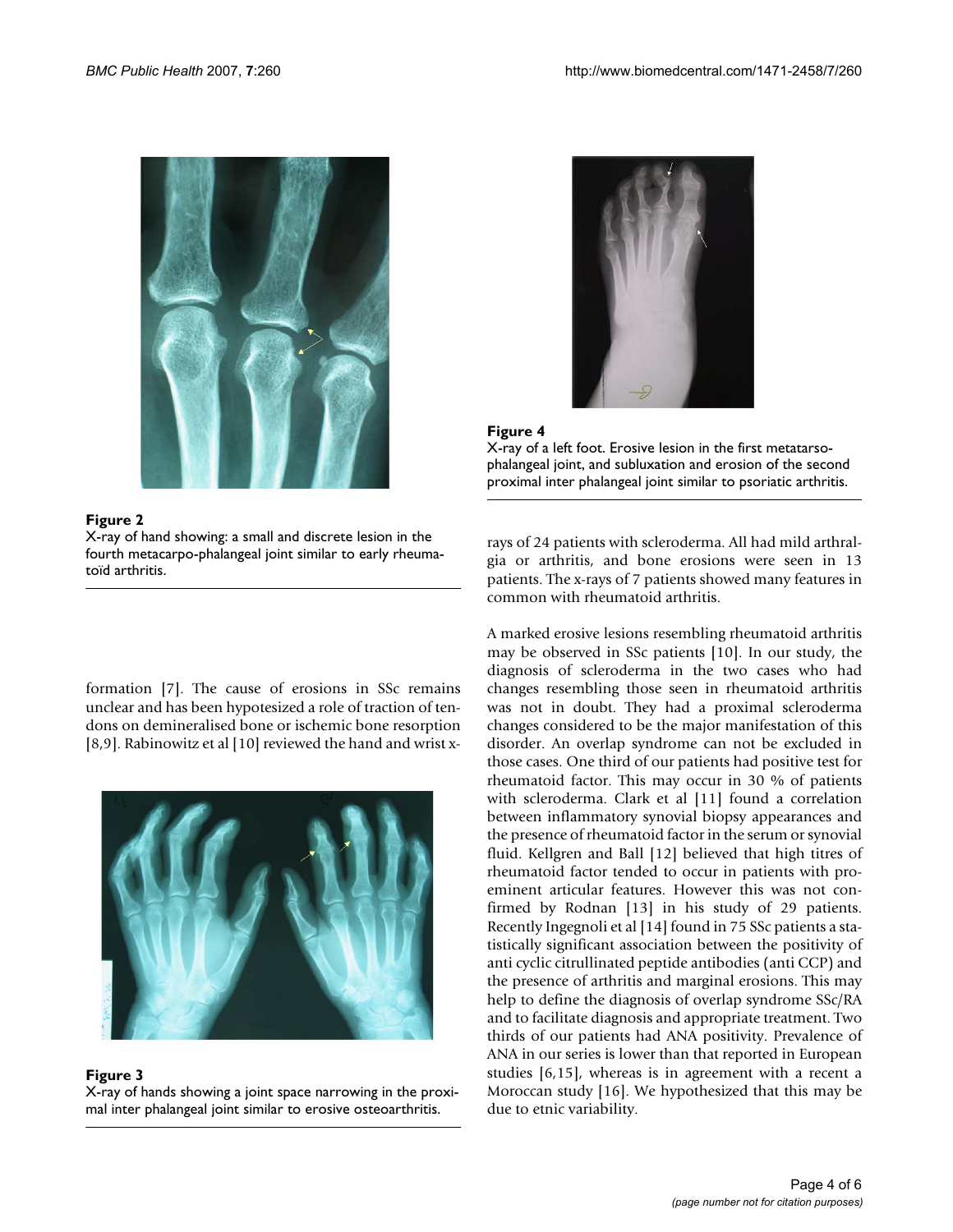

# Figure 2

X-ray of hand showing: a small and discrete lesion in the fourth metacarpo-phalangeal joint similar to early rheumatoïd arthritis.

formation [7]. The cause of erosions in SSc remains unclear and has been hypotesized a role of traction of tendons on demineralised bone or ischemic bone resorption [8,9]. Rabinowitz et al [10] reviewed the hand and wrist x-



#### Figure 3

X-ray of hands showing a joint space narrowing in the proximal inter phalangeal joint similar to erosive osteoarthritis.





X-ray of a left foot. Erosive lesion in the first metatarsophalangeal joint, and subluxation and erosion of the second proximal inter phalangeal joint similar to psoriatic arthritis.

rays of 24 patients with scleroderma. All had mild arthralgia or arthritis, and bone erosions were seen in 13 patients. The x-rays of 7 patients showed many features in common with rheumatoid arthritis.

A marked erosive lesions resembling rheumatoid arthritis may be observed in SSc patients [10]. In our study, the diagnosis of scleroderma in the two cases who had changes resembling those seen in rheumatoid arthritis was not in doubt. They had a proximal scleroderma changes considered to be the major manifestation of this disorder. An overlap syndrome can not be excluded in those cases. One third of our patients had positive test for rheumatoid factor. This may occur in 30 % of patients with scleroderma. Clark et al [11] found a correlation between inflammatory synovial biopsy appearances and the presence of rheumatoid factor in the serum or synovial fluid. Kellgren and Ball [12] believed that high titres of rheumatoid factor tended to occur in patients with proeminent articular features. However this was not confirmed by Rodnan [13] in his study of 29 patients. Recently Ingegnoli et al [14] found in 75 SSc patients a statistically significant association between the positivity of anti cyclic citrullinated peptide antibodies (anti CCP) and the presence of arthritis and marginal erosions. This may help to define the diagnosis of overlap syndrome SSc/RA and to facilitate diagnosis and appropriate treatment. Two thirds of our patients had ANA positivity. Prevalence of ANA in our series is lower than that reported in European studies [6,15], whereas is in agreement with a recent a Moroccan study [16]. We hypothesized that this may be due to etnic variability.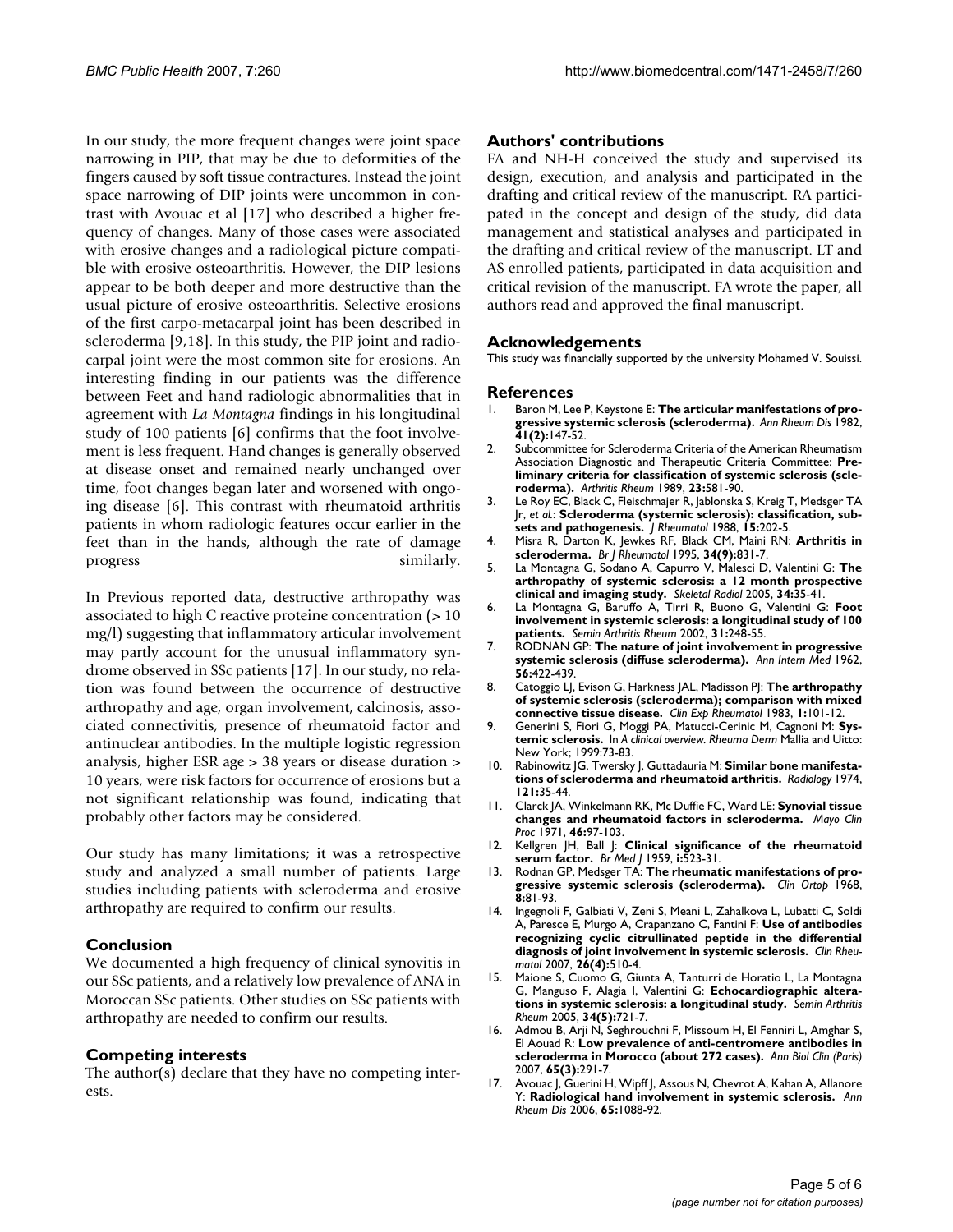In our study, the more frequent changes were joint space narrowing in PIP, that may be due to deformities of the fingers caused by soft tissue contractures. Instead the joint space narrowing of DIP joints were uncommon in contrast with Avouac et al [17] who described a higher frequency of changes. Many of those cases were associated with erosive changes and a radiological picture compatible with erosive osteoarthritis. However, the DIP lesions appear to be both deeper and more destructive than the usual picture of erosive osteoarthritis. Selective erosions of the first carpo-metacarpal joint has been described in scleroderma [9,18]. In this study, the PIP joint and radiocarpal joint were the most common site for erosions. An interesting finding in our patients was the difference between Feet and hand radiologic abnormalities that in agreement with *La Montagna* findings in his longitudinal study of 100 patients [6] confirms that the foot involvement is less frequent. Hand changes is generally observed at disease onset and remained nearly unchanged over time, foot changes began later and worsened with ongoing disease [6]. This contrast with rheumatoid arthritis patients in whom radiologic features occur earlier in the feet than in the hands, although the rate of damage progress similarly.

In Previous reported data, destructive arthropathy was associated to high C reactive proteine concentration (> 10 mg/l) suggesting that inflammatory articular involvement may partly account for the unusual inflammatory syndrome observed in SSc patients [17]. In our study, no relation was found between the occurrence of destructive arthropathy and age, organ involvement, calcinosis, associated connectivitis, presence of rheumatoid factor and antinuclear antibodies. In the multiple logistic regression analysis, higher ESR age > 38 years or disease duration > 10 years, were risk factors for occurrence of erosions but a not significant relationship was found, indicating that probably other factors may be considered.

Our study has many limitations; it was a retrospective study and analyzed a small number of patients. Large studies including patients with scleroderma and erosive arthropathy are required to confirm our results.

# **Conclusion**

We documented a high frequency of clinical synovitis in our SSc patients, and a relatively low prevalence of ANA in Moroccan SSc patients. Other studies on SSc patients with arthropathy are needed to confirm our results.

# **Competing interests**

The author(s) declare that they have no competing interests.

# **Authors' contributions**

FA and NH-H conceived the study and supervised its design, execution, and analysis and participated in the drafting and critical review of the manuscript. RA participated in the concept and design of the study, did data management and statistical analyses and participated in the drafting and critical review of the manuscript. LT and AS enrolled patients, participated in data acquisition and critical revision of the manuscript. FA wrote the paper, all authors read and approved the final manuscript.

# **Acknowledgements**

This study was financially supported by the university Mohamed V. Souissi.

#### **References**

- 1. Baron M, Lee P, Keystone E: **[The articular manifestations of pro](http://www.ncbi.nlm.nih.gov/entrez/query.fcgi?cmd=Retrieve&db=PubMed&dopt=Abstract&list_uids=7073343)[gressive systemic sclerosis \(scleroderma\).](http://www.ncbi.nlm.nih.gov/entrez/query.fcgi?cmd=Retrieve&db=PubMed&dopt=Abstract&list_uids=7073343)** *Ann Rheum Dis* 1982, **41(2):**147-52.
- 2. Subcommittee for Scleroderma Criteria of the American Rheumatism Association Diagnostic and Therapeutic Criteria Committee: **Preliminary criteria for classification of systemic sclerosis (scleroderma).** *Arthritis Rheum* 1989, **23:**581-90.
- 3. Le Roy EC, Black C, Fleischmajer R, Jablonska S, Kreig T, Medsger TA Jr, *et al.*: **[Scleroderma \(systemic sclerosis\): classification, sub](http://www.ncbi.nlm.nih.gov/entrez/query.fcgi?cmd=Retrieve&db=PubMed&dopt=Abstract&list_uids=3361530)[sets and pathogenesis.](http://www.ncbi.nlm.nih.gov/entrez/query.fcgi?cmd=Retrieve&db=PubMed&dopt=Abstract&list_uids=3361530)** *J Rheumatol* 1988, **15:**202-5.
- 4. Misra R, Darton K, Jewkes RF, Black CM, Maini RN: **[Arthritis in](http://www.ncbi.nlm.nih.gov/entrez/query.fcgi?cmd=Retrieve&db=PubMed&dopt=Abstract&list_uids=7582722) [scleroderma.](http://www.ncbi.nlm.nih.gov/entrez/query.fcgi?cmd=Retrieve&db=PubMed&dopt=Abstract&list_uids=7582722)** *Br J Rheumatol* 1995, **34(9):**831-7.
- 5. La Montagna G, Sodano A, Capurro V, Malesci D, Valentini G: **[The](http://www.ncbi.nlm.nih.gov/entrez/query.fcgi?cmd=Retrieve&db=PubMed&dopt=Abstract&list_uids=15378289) [arthropathy of systemic sclerosis: a 12 month prospective](http://www.ncbi.nlm.nih.gov/entrez/query.fcgi?cmd=Retrieve&db=PubMed&dopt=Abstract&list_uids=15378289) [clinical and imaging study.](http://www.ncbi.nlm.nih.gov/entrez/query.fcgi?cmd=Retrieve&db=PubMed&dopt=Abstract&list_uids=15378289)** *Skeletal Radiol* 2005, **34:**35-41.
- 6. La Montagna G, Baruffo A, Tirri R, Buono G, Valentini G: **[Foot](http://www.ncbi.nlm.nih.gov/entrez/query.fcgi?cmd=Retrieve&db=PubMed&dopt=Abstract&list_uids=11836657) [involvement in systemic sclerosis: a longitudinal study of 100](http://www.ncbi.nlm.nih.gov/entrez/query.fcgi?cmd=Retrieve&db=PubMed&dopt=Abstract&list_uids=11836657) [patients.](http://www.ncbi.nlm.nih.gov/entrez/query.fcgi?cmd=Retrieve&db=PubMed&dopt=Abstract&list_uids=11836657)** *Semin Arthritis Rheum* 2002, **31:**248-55.
- 7. RODNAN GP: **[The nature of joint involvement in progressive](http://www.ncbi.nlm.nih.gov/entrez/query.fcgi?cmd=Retrieve&db=PubMed&dopt=Abstract&list_uids=14493143) [systemic sclerosis \(diffuse scleroderma\).](http://www.ncbi.nlm.nih.gov/entrez/query.fcgi?cmd=Retrieve&db=PubMed&dopt=Abstract&list_uids=14493143)** *Ann Intern Med* 1962, **56:**422-439.
- 8. Catoggio LJ, Evison G, Harkness JAL, Madisson PJ: **[The arthropathy](http://www.ncbi.nlm.nih.gov/entrez/query.fcgi?cmd=Retrieve&db=PubMed&dopt=Abstract&list_uids=6335854) [of systemic sclerosis \(scleroderma\); comparison with mixed](http://www.ncbi.nlm.nih.gov/entrez/query.fcgi?cmd=Retrieve&db=PubMed&dopt=Abstract&list_uids=6335854) [connective tissue disease.](http://www.ncbi.nlm.nih.gov/entrez/query.fcgi?cmd=Retrieve&db=PubMed&dopt=Abstract&list_uids=6335854)** *Clin Exp Rheumatol* 1983, **1:**101-12.
- 9. Generini S, Fiori G, Moggi PA, Matucci-Cerinic M, Cagnoni M: **Systemic sclerosis.** In *A clinical overview. Rheuma Derm* Mallia and Uitto: New York; 1999:73-83.
- 10. Rabinowitz JG, Twersky J, Guttadauria M: **Similar bone manifestations of scleroderma and rheumatoid arthritis.** *Radiology* 1974, **121:**35-44.
- 11. Clarck JA, Winkelmann RK, Mc Duffie FC, Ward LE: **[Synovial tissue](http://www.ncbi.nlm.nih.gov/entrez/query.fcgi?cmd=Retrieve&db=PubMed&dopt=Abstract&list_uids=5546414) [changes and rheumatoid factors in scleroderma.](http://www.ncbi.nlm.nih.gov/entrez/query.fcgi?cmd=Retrieve&db=PubMed&dopt=Abstract&list_uids=5546414)** *Mayo Clin Proc* 1971, **46:**97-103.
- 12. Kellgren JH, Ball J: **Clinical significance of the rheumatoid serum factor.** *Br Med J* 1959, **i:**523-31.
- 13. Rodnan GP, Medsger TA: **The rheumatic manifestations of progressive systemic sclerosis (scleroderma).** *Clin Ortop* 1968, **8:**81-93.
- 14. Ingegnoli F, Galbiati V, Zeni S, Meani L, Zahalkova L, Lubatti C, Soldi A, Paresce E, Murgo A, Crapanzano C, Fantini F: **[Use of antibodies](http://www.ncbi.nlm.nih.gov/entrez/query.fcgi?cmd=Retrieve&db=PubMed&dopt=Abstract&list_uids=16670827) [recognizing cyclic citrullinated peptide in the differential](http://www.ncbi.nlm.nih.gov/entrez/query.fcgi?cmd=Retrieve&db=PubMed&dopt=Abstract&list_uids=16670827) [diagnosis of joint involvement in systemic sclerosis.](http://www.ncbi.nlm.nih.gov/entrez/query.fcgi?cmd=Retrieve&db=PubMed&dopt=Abstract&list_uids=16670827)** *Clin Rheumatol* 2007, **26(4):**510-4.
- 15. Maione S, Cuomo G, Giunta A, Tanturri de Horatio L, La Montagna G, Manguso F, Alagia I, Valentini G: **[Echocardiographic altera](http://www.ncbi.nlm.nih.gov/entrez/query.fcgi?cmd=Retrieve&db=PubMed&dopt=Abstract&list_uids=15846587)[tions in systemic sclerosis: a longitudinal study.](http://www.ncbi.nlm.nih.gov/entrez/query.fcgi?cmd=Retrieve&db=PubMed&dopt=Abstract&list_uids=15846587)** *Semin Arthritis Rheum* 2005, **34(5):**721-7.
- 16. Admou B, Arji N, Seghrouchni F, Missoum H, El Fenniri L, Amghar S, El Aouad R: **[Low prevalence of anti-centromere antibodies in](http://www.ncbi.nlm.nih.gov/entrez/query.fcgi?cmd=Retrieve&db=PubMed&dopt=Abstract&list_uids=17502303) [scleroderma in Morocco \(about 272 cases\).](http://www.ncbi.nlm.nih.gov/entrez/query.fcgi?cmd=Retrieve&db=PubMed&dopt=Abstract&list_uids=17502303)** *Ann Biol Clin (Paris)* 2007, **65(3):**291-7.
- 17. Avouac J, Guerini H, Wipff J, Assous N, Chevrot A, Kahan A, Allanore Y: **[Radiological hand involvement in systemic sclerosis.](http://www.ncbi.nlm.nih.gov/entrez/query.fcgi?cmd=Retrieve&db=PubMed&dopt=Abstract&list_uids=16414976)** *Ann Rheum Dis* 2006, **65:**1088-92.